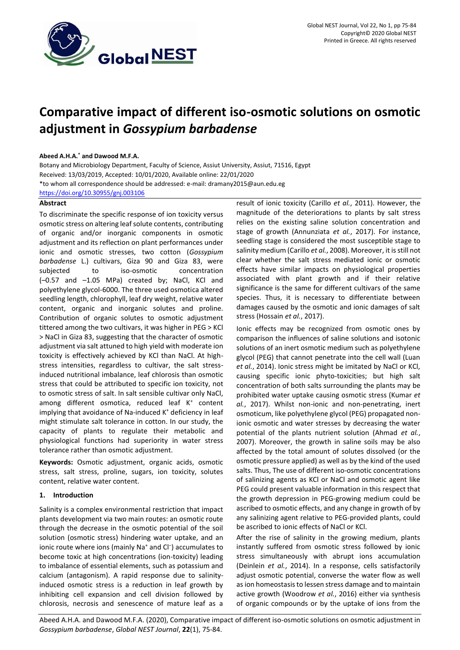

# **Comparative impact of different iso-osmotic solutions on osmotic adjustment in** *Gossypium barbadense*

## **Abeed A.H.A.\* and Dawood M.F.A.**

Botany and Microbiology Department, Faculty of Science, Assiut University, Assiut, 71516, Egypt Received: 13/03/2019, Accepted: 10/01/2020, Available online: 22/01/2020 \*to whom all correspondence should be addressed: e-mail[: dramany2015@aun.edu.eg](mailto:dramany2015@aun.edu.eg) <https://doi.org/10.30955/gnj.003106>

# **Abstract**

To discriminate the specific response of ion toxicity versus osmotic stress on altering leaf solute contents, contributing of organic and/or inorganic components in osmotic adjustment and its reflection on plant performances under ionic and osmotic stresses, two cotton (*Gossypium barbadense* L.) cultivars, Giza 90 and Giza 83, were subjected to iso-osmotic concentration (–0.57 and –1.05 MPa) created by; NaCl, KCl and polyethylene glycol-6000. The three used osmotica altered seedling length, chlorophyll, leaf dry weight, relative water content, organic and inorganic solutes and proline. Contribution of organic solutes to osmotic adjustment tittered among the two cultivars, it was higher in PEG > KCl ˃ NaCl in Giza 83, suggesting that the character of osmotic adjustment via salt attuned to high yield with moderate ion toxicity is effectively achieved by KCl than NaCl. At highstress intensities, regardless to cultivar, the salt stressinduced nutritional imbalance, leaf chlorosis than osmotic stress that could be attributed to specific ion toxicity, not to osmotic stress of salt. In salt sensible cultivar only NaCl, among different osmotica, reduced leaf K<sup>+</sup> content implying that avoidance of Na-induced K<sup>+</sup> deficiency in leaf might stimulate salt tolerance in cotton. In our study, the capacity of plants to regulate their metabolic and physiological functions had superiority in water stress tolerance rather than osmotic adjustment.

**Keywords:** Osmotic adjustment, organic acids, osmotic stress, salt stress, proline, sugars, ion toxicity, solutes content, relative water content.

# **1. Introduction**

Salinity is a complex environmental restriction that impact plants development via two main routes: an osmotic route through the decrease in the osmotic potential of the soil solution (osmotic stress) hindering water uptake, and an ionic route where ions (mainly Na<sup>+</sup> and Cl<sup>-</sup>) accumulates to become toxic at high concentrations (ion-toxicity) leading to imbalance of essential elements, such as potassium and calcium (antagonism). A rapid response due to salinityinduced osmotic stress is a reduction in leaf growth by inhibiting cell expansion and cell division followed by chlorosis, necrosis and senescence of mature leaf as a

result of ionic toxicity (Carillo *et al.*, 2011). However, the magnitude of the deteriorations to plants by salt stress relies on the existing saline solution concentration and stage of growth (Annunziata *et al.*, 2017). For instance, seedling stage is considered the most susceptible stage to salinity medium (Carillo *et al.*, 2008). Moreover, it is still not clear whether the salt stress mediated ionic or osmotic effects have similar impacts on physiological properties associated with plant growth and if their relative significance is the same for different cultivars of the same species. Thus, it is necessary to differentiate between damages caused by the osmotic and ionic damages of salt stress (Hossain *et al.*, 2017).

Ionic effects may be recognized from osmotic ones by comparison the influences of saline solutions and isotonic solutions of an inert osmotic medium such as polyethylene glycol (PEG) that cannot penetrate into the cell wall (Luan *et al.*, 2014). Ionic stress might be imitated by NaCl or KCl, causing specific ionic phyto-toxicities; but high salt concentration of both salts surrounding the plants may be prohibited water uptake causing osmotic stress (Kumar *et al.*, 2017). Whilst non-ionic and non-penetrating, inert osmoticum, like polyethylene glycol (PEG) propagated nonionic osmotic and water stresses by decreasing the water potential of the plants nutrient solution (Ahmad *et al.*, 2007). Moreover, the growth in saline soils may be also affected by the total amount of solutes dissolved (or the osmotic pressure applied) as well as by the kind of the used salts. Thus, The use of different iso-osmotic concentrations of salinizing agents as KCl or NaCl and osmotic agent like PEG could present valuable information in this respect that the growth depression in PEG-growing medium could be ascribed to osmotic effects, and any change in growth of by any salinizing agent relative to PEG-provided plants, could be ascribed to ionic effects of NaCl or KCl.

After the rise of salinity in the growing medium, plants instantly suffered from osmotic stress followed by ionic stress simultaneously with abrupt ions accumulation (Deinlein *et al.*, 2014). In a response, cells satisfactorily adjust osmotic potential, converse the water flow as well as ion homeostasis to lessen stress damage and to maintain active growth (Woodrow *et al.*, 2016) either via synthesis of organic compounds or by the uptake of ions from the

Abeed A.H.A. and Dawood M.F.A. (2020), Comparative impact of different iso-osmotic solutions on osmotic adjustment in *Gossypium barbadense*, *Global NEST Journal*, **22**(1), 75-84.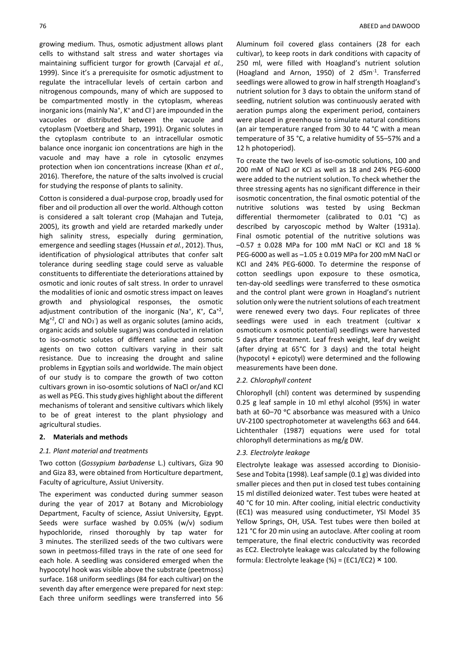growing medium. Thus, osmotic adjustment allows plant cells to withstand salt stress and water shortages via maintaining sufficient turgor for growth (Carvajal *et al.*, 1999). Since it's a prerequisite for osmotic adjustment to regulate the intracellular levels of certain carbon and nitrogenous compounds, many of which are supposed to be compartmented mostly in the cytoplasm, whereas inorganic ions (mainly Na<sup>+</sup>, K<sup>+</sup> and Cl<sup>-</sup>) are impounded in the vacuoles or distributed between the vacuole and cytoplasm (Voetberg and Sharp, 1991). Organic solutes in the cytoplasm contribute to an intracellular osmotic balance once inorganic ion concentrations are high in the vacuole and may have a role in cytosolic enzymes protection when ion concentrations increase (Khan *et al.*, 2016). Therefore, the nature of the salts involved is crucial for studying the response of plants to salinity.

Cotton is considered a dual-purpose crop, broadly used for fiber and oil production all over the world. Although cotton is considered a salt tolerant crop (Mahajan and Tuteja, 2005), its growth and yield are retarded markedly under high salinity stress, especially during germination, emergence and seedling stages (Hussain *et al.*, 2012). Thus, identification of physiological attributes that confer salt tolerance during seedling stage could serve as valuable constituents to differentiate the deteriorations attained by osmotic and ionic routes of salt stress. In order to unravel the modalities of ionic and osmotic stress impact on leaves growth and physiological responses, the osmotic adjustment contribution of the inorganic (Na<sup>+</sup>, K<sup>+</sup>, Ca<sup>+2</sup>,  $Mg^{+2}$ , Cl<sup>-</sup> and NO<sub>3</sub><sup>-</sup>) as well as organic solutes (amino acids, organic acids and soluble sugars) was conducted in relation to iso-osmotic solutes of different saline and osmotic agents on two cotton cultivars varying in their salt resistance. Due to increasing the drought and saline problems in Egyptian soils and worldwide. The main object of our study is to compare the growth of two cotton cultivars grown in iso-osomtic solutions of NaCl or/and KCl as well as PEG. This study gives highlight about the different mechanisms of tolerant and sensitive cultivars which likely to be of great interest to the plant physiology and agricultural studies.

# **2. Materials and methods**

## *2.1. Plant material and treatments*

Two cotton (*Gossypium barbadense* L.) cultivars, Giza 90 and Giza 83, were obtained from Horticulture department, Faculty of agriculture, Assiut University.

The experiment was conducted during summer season during the year of 2017 at Botany and Microbiology Department, Faculty of science, Assiut University, Egypt. Seeds were surface washed by 0.05% (w/v) sodium hypochloride, rinsed thoroughly by tap water for 3 minutes. The sterilized seeds of the two cultivars were sown in peetmoss-filled trays in the rate of one seed for each hole. A seedling was considered emerged when the hypocotyl hook was visible above the substrate (peetmoss) surface. 168 uniform seedlings (84 for each cultivar) on the seventh day after emergence were prepared for next step: Each three uniform seedlings were transferred into 56 Aluminum foil covered glass containers (28 for each cultivar), to keep roots in dark conditions with capacity of 250 ml, were filled with Hoagland's nutrient solution (Hoagland and Arnon, 1950) of 2 dSm-1 . Transferred seedlings were allowed to grow in half strength Hoagland's nutrient solution for 3 days to obtain the uniform stand of seedling, nutrient solution was continuously aerated with aeration pumps along the experiment period, containers were placed in greenhouse to simulate natural conditions (an air temperature ranged from 30 to 44 °C with a mean temperature of 35 °C, a relative humidity of 55–57% and a 12 h photoperiod).

To create the two levels of iso-osmotic solutions, 100 and 200 mM of NaCl or KCl as well as 18 and 24% PEG-6000 were added to the nutrient solution. To check whether the three stressing agents has no significant difference in their isosmotic concentration, the final osmotic potential of the nutritive solutions was tested by using Beckman differential thermometer (calibrated to 0.01 °C) as described by caryoscopic method by Walter (1931a). Final osmotic potential of the nutritive solutions was  $-0.57 \pm 0.028$  MPa for 100 mM NaCl or KCl and 18 % PEG-6000 as well as –1.05 ± 0.019 MPa for 200 mM NaCl or KCl and 24% PEG-6000. To determine the response of cotton seedlings upon exposure to these osmotica, ten-day-old seedlings were transferred to these osmotica and the control plant were grown in Hoagland's nutrient solution only were the nutrient solutions of each treatment were renewed every two days. Four replicates of three seedlings were used in each treatment (cultivar x osmoticum x osmotic potential) seedlings were harvested 5 days after treatment. Leaf fresh weight, leaf dry weight (after drying at 65°C for 3 days) and the total height (hypocotyl + epicotyl) were determined and the following measurements have been done.

#### *2.2. Chlorophyll content*

Chlorophyll (chl) content was determined by suspending 0.25 g leaf sample in 10 ml ethyl alcohol (95%) in water bath at 60-70 °C absorbance was measured with a Unico UV-2100 spectrophotometer at wavelengths 663 and 644. Lichtenthaler (1987) equations were used for total chlorophyll determinations as mg/g DW.

#### *2.3. Electrolyte leakage*

Electrolyte leakage was assessed according to Dionisio-Sese and Tobita (1998). Leaf sample (0.1 g) was divided into smaller pieces and then put in closed test tubes containing 15 ml distilled deionized water. Test tubes were heated at 40 °C for 10 min. After cooling, initial electric conductivity (EC1) was measured using conductimeter, YSI Model 35 Yellow Springs, OH, USA. Test tubes were then boiled at 121 °C for 20 min using an autoclave. After cooling at room temperature, the final electric conductivity was recorded as EC2. Electrolyte leakage was calculated by the following formula: Electrolyte leakage (%) = (EC1/EC2)  $\times$  100.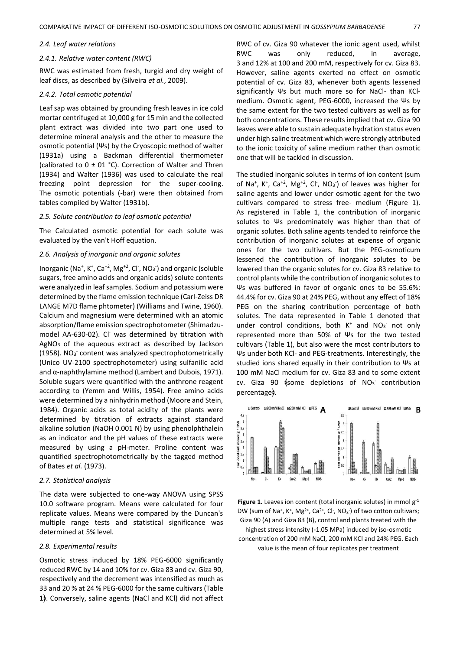#### *2.4. Leaf water relations*

#### *2.4.1. Relative water content (RWC)*

RWC was estimated from fresh, turgid and dry weight of leaf discs, as described by (Silveira *et al.*, 2009).

#### *2.4.2. Total osmotic potential*

Leaf sap was obtained by grounding fresh leaves in ice cold mortar centrifuged at 10,000 g for 15 min and the collected plant extract was divided into two part one used to determine mineral analysis and the other to measure the osmotic potential (Ψs) by the Cryoscopic method of walter (1931a) using a Backman differential thermometer (calibrated to  $0 \pm 01$  °C). Correction of Walter and Thren (1934) and Walter (1936) was used to calculate the real freezing point depression for the super-cooling. The osmotic potentials (-bar) were then obtained from tables compiled by Walter (1931b).

#### *2.5. Solute contribution to leaf osmotic potential*

The Calculated osmotic potential for each solute was evaluated by the van't Hoff equation.

#### *2.6. Analysis of inorganic and organic solutes*

Inorganic (Na<sup>+</sup>, K<sup>+</sup>, Ca<sup>+2</sup>, Mg<sup>+2</sup>, Cl<sup>-</sup>, NO<sub>3</sub><sup>-</sup>) and organic (soluble sugars, free amino acids and organic acids) solute contents were analyzed in leaf samples. Sodium and potassium were determined by the flame emission technique (Carl-Zeiss DR LANGE M7D flame phtometer) (Williams and Twine, 1960). Calcium and magnesium were determined with an atomic absorption/flame emission spectrophotometer (Shimadzumodel AA-630-02). Cl<sup>-</sup> was determined by titration with  $AgNO<sub>3</sub>$  of the aqueous extract as described by Jackson (1958). NO<sub>3</sub> content was analyzed spectrophotometrically (Unico UV-2100 spectrophotometer) using sulfanilic acid and α-naphthylamine method (Lambert and Dubois, 1971). Soluble sugars were quantified with the anthrone reagent according to (Yemm and Willis, 1954). Free amino acids were determined by a ninhydrin method (Moore and Stein, 1984). Organic acids as total acidity of the plants were determined by titration of extracts against standard alkaline solution (NaOH 0.001 N) by using phenolphthalein as an indicator and the pH values of these extracts were measured by using a pH-meter. Proline content was quantified spectrophotometrically by the tagged method of Bates *et al.* (1973).

#### *2.7. Statistical analysis*

The data were subjected to one-way ANOVA using SPSS 10.0 software program. Means were calculated for four replicate values. Means were compared by the Duncan's multiple range tests and statistical significance was determined at 5% level.

## *2.8. Experimental results*

Osmotic stress induced by 18% PEG-6000 significantly reduced RWC by 14 and 10% for cv. Giza 83 and cv. Giza 90, respectively and the decrement was intensified as much as 33 and 20 % at 24 % PEG-6000 for the same cultivars (Table 1﴿. Conversely, saline agents (NaCl and KCl) did not affect

RWC of cv. Giza 90 whatever the ionic agent used, whilst RWC was only reduced, in average, 3 and 12% at 100 and 200 mM, respectively for cv. Giza 83. However, saline agents exerted no effect on osmotic potential of cv. Giza 83, whenever both agents lessened significantly Ψs but much more so for NaCl- than KClmedium. Osmotic agent, PEG-6000, increased the Ψs by the same extent for the two tested cultivars as well as for both concentrations. These results implied that cv. Giza 90 leaves were able to sustain adequate hydration status even under high saline treatment which were strongly attributed to the ionic toxicity of saline medium rather than osmotic one that will be tackled in discussion.

The studied inorganic solutes in terms of ion content (sum of Na<sup>+</sup>, K<sup>+</sup>, Ca<sup>+2</sup>, Mg<sup>+2</sup>, Cl<sup>-</sup>, NO<sub>3</sub><sup>-</sup>) of leaves was higher for saline agents and lower under osmotic agent for the two cultivars compared to stress free- medium (Figure 1). As registered in Table 1, the contribution of inorganic solutes to Ψs predominately was higher than that of organic solutes. Both saline agents tended to reinforce the contribution of inorganic solutes at expense of organic ones for the two cultivars. But the PEG-osmoticum lessened the contribution of inorganic solutes to be lowered than the organic solutes for cv. Giza 83 relative to control plants while the contribution of inorganic solutes to Ψs was buffered in favor of organic ones to be 55.6%: 44.4% for cv. Giza 90 at 24% PEG, without any effect of 18% PEG on the sharing contribution percentage of both solutes. The data represented in Table 1 denoted that under control conditions, both K<sup>+</sup> and NO<sub>3</sub> not only represented more than 50% of Ψs for the two tested cultivars (Table 1), but also were the most contributors to Ψs under both KCl- and PEG-treatments. Interestingly, the studied ions shared equally in their contribution to Ψs at 100 mM NaCl medium for cv. Giza 83 and to some extent cv. Giza 90  $\frac{1}{2}$ some depletions of NO<sub>3</sub> contribution percentage﴿.



Figure 1. Leaves ion content (total inorganic solutes) in mmol  $g^{-1}$ DW (sum of Na<sup>+</sup>, K<sup>+</sup>, Mg<sup>2+</sup>, Ca<sup>2+</sup>, Cl<sup>-</sup>, NO<sub>3</sub><sup>-</sup>) of two cotton cultivars; Giza 90 (A) and Giza 83 (B), control and plants treated with the highest stress intensity (-1.05 MPa) induced by iso-osmotic concentration of 200 mM NaCl, 200 mM KCl and 24% PEG. Each value is the mean of four replicates per treatment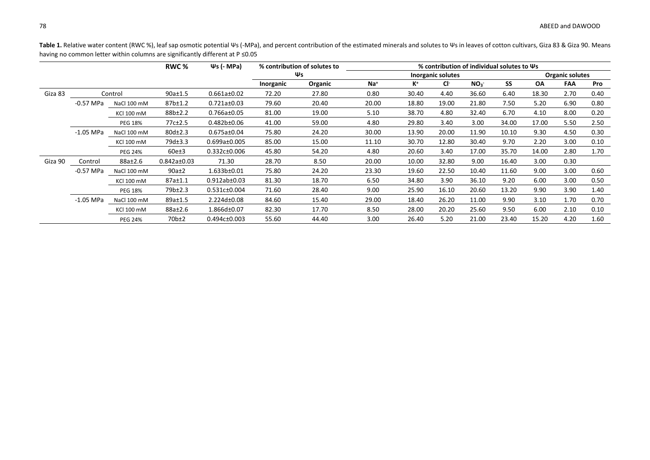Table 1. Relative water content (RWC %), leaf sap osmotic potential Ψs (-MPa), and percent contribution of the estimated minerals and solutes to Ψs in leaves of cotton cultivars, Giza 83 & Giza 90. Means having no common letter within columns are significantly different at P ≤0.05

|         |             |                   | RWC %             | $\Psi$ s (- MPa)   | % contribution of solutes to |         | $%$ contribution of individual solutes to $\Psi$ s |       |       |                 |                        |           |      |      |
|---------|-------------|-------------------|-------------------|--------------------|------------------------------|---------|----------------------------------------------------|-------|-------|-----------------|------------------------|-----------|------|------|
|         |             |                   |                   |                    | Ψs<br>Inorganic solutes      |         |                                                    |       |       |                 | <b>Organic solutes</b> |           |      |      |
|         |             |                   |                   |                    | Inorganic                    | Organic | $Na+$                                              | K+    | Cŀ    | NO <sub>3</sub> | SS                     | <b>OA</b> | FAA  | Pro  |
| Giza 83 |             | Control           | $90a \pm 1.5$     | $0.661a \pm 0.02$  | 72.20                        | 27.80   | 0.80                                               | 30.40 | 4.40  | 36.60           | 6.40                   | 18.30     | 2.70 | 0.40 |
|         | $-0.57$ MPa | NaCl 100 mM       | 87b±1.2           | $0.721a \pm 0.03$  | 79.60                        | 20.40   | 20.00                                              | 18.80 | 19.00 | 21.80           | 7.50                   | 5.20      | 6.90 | 0.80 |
|         |             | <b>KCI 100 mM</b> | 88b±2.2           | $0.766a \pm 0.05$  | 81.00                        | 19.00   | 5.10                                               | 38.70 | 4.80  | 32.40           | 6.70                   | 4.10      | 8.00 | 0.20 |
|         |             | <b>PEG 18%</b>    | 77c±2.5           | 0.482b±0.06        | 41.00                        | 59.00   | 4.80                                               | 29.80 | 3.40  | 3.00            | 34.00                  | 17.00     | 5.50 | 2.50 |
|         | $-1.05$ MPa | NaCl 100 mM       | 80d±2.3           | $0.675a \pm 0.04$  | 75.80                        | 24.20   | 30.00                                              | 13.90 | 20.00 | 11.90           | 10.10                  | 9.30      | 4.50 | 0.30 |
|         |             | <b>KCI 100 mM</b> | 79d±3.3           | $0.699a \pm 0.005$ | 85.00                        | 15.00   | 11.10                                              | 30.70 | 12.80 | 30.40           | 9.70                   | 2.20      | 3.00 | 0.10 |
|         |             | <b>PEG 24%</b>    | 60e±3             | $0.332c \pm 0.006$ | 45.80                        | 54.20   | 4.80                                               | 20.60 | 3.40  | 17.00           | 35.70                  | 14.00     | 2.80 | 1.70 |
| Giza 90 | Control     | 88a±2.6           | $0.842a \pm 0.03$ | 71.30              | 28.70                        | 8.50    | 20.00                                              | 10.00 | 32.80 | 9.00            | 16.40                  | 3.00      | 0.30 |      |
|         | $-0.57$ MPa | NaCl 100 mM       | $90a \pm 2$       | 1.633b±0.01        | 75.80                        | 24.20   | 23.30                                              | 19.60 | 22.50 | 10.40           | 11.60                  | 9.00      | 3.00 | 0.60 |
|         |             | <b>KCI 100 mM</b> | 87a±1.1           | $0.912ab \pm 0.03$ | 81.30                        | 18.70   | 6.50                                               | 34.80 | 3.90  | 36.10           | 9.20                   | 6.00      | 3.00 | 0.50 |
|         |             | <b>PEG 18%</b>    | 79b±2.3           | 0.531c±0.004       | 71.60                        | 28.40   | 9.00                                               | 25.90 | 16.10 | 20.60           | 13.20                  | 9.90      | 3.90 | 1.40 |
|         | $-1.05$ MPa | NaCl 100 mM       | 89a±1.5           | 2.224d±0.08        | 84.60                        | 15.40   | 29.00                                              | 18.40 | 26.20 | 11.00           | 9.90                   | 3.10      | 1.70 | 0.70 |
|         |             | <b>KCI 100 mM</b> | 88a±2.6           | 1.866d±0.07        | 82.30                        | 17.70   | 8.50                                               | 28.00 | 20.20 | 25.60           | 9.50                   | 6.00      | 2.10 | 0.10 |
|         |             | <b>PEG 24%</b>    | 70 <sub>b±2</sub> | $0.494c \pm 0.003$ | 55.60                        | 44.40   | 3.00                                               | 26.40 | 5.20  | 21.00           | 23.40                  | 15.20     | 4.20 | 1.60 |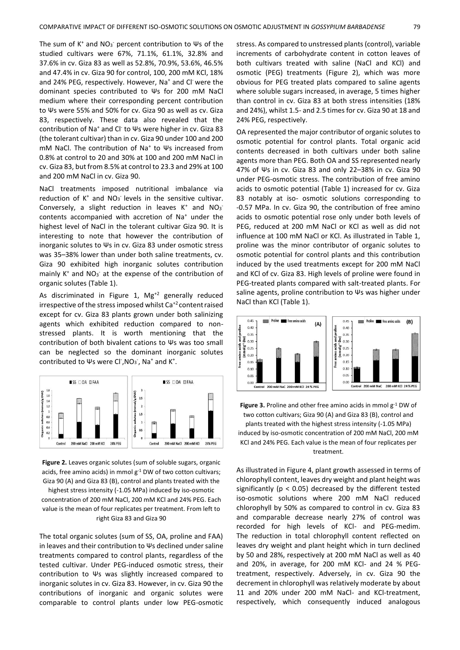The sum of  $K^+$  and NO<sub>3</sub> percent contribution to  $\Psi$ s of the studied cultivars were 67%, 71.1%, 61.1%, 32.8% and 37.6% in cv. Giza 83 as well as 52.8%, 70.9%, 53.6%, 46.5% and 47.4% in cv. Giza 90 for control, 100, 200 mM KCl, 18% and 24% PEG, respectively. However, Na<sup>+</sup> and Cl<sup>-</sup> were the dominant species contributed to Ψs for 200 mM NaCl medium where their corresponding percent contribution to Ψs were 55% and 50% for cv. Giza 90 as well as cv. Giza 83, respectively. These data also revealed that the contribution of Na<sup>+</sup> and Cl-to Ψs were higher in cv. Giza 83 (the tolerant cultivar) than in cv. Giza 90 under 100 and 200 mM NaCl. The contribution of Na<sup>+</sup> to Ψs increased from 0.8% at control to 20 and 30% at 100 and 200 mM NaCl in cv. Giza 83, but from 8.5% at control to 23.3 and 29% at 100 and 200 mM NaCl in cv. Giza 90.

NaCl treatments imposed nutritional imbalance via reduction of  $K^+$  and  $NO_3^-$  levels in the sensitive cultivar. Conversely, a slight reduction in leaves  $K^+$  and NO3 contents accompanied with accretion of Na<sup>+</sup> under the highest level of NaCl in the tolerant cultivar Giza 90. It is interesting to note that however the contribution of inorganic solutes to Ψs in cv. Giza 83 under osmotic stress was 35–38% lower than under both saline treatments, cv. Giza 90 exhibited high inorganic solutes contribution mainly K<sup>+</sup> and NO<sub>3</sub><sup>-</sup> at the expense of the contribution of organic solutes (Table 1).

As discriminated in Figure 1,  $Mg^{+2}$  generally reduced irrespective of the stress imposed whilst  $Ca^{+2}$  content raised except for cv. Giza 83 plants grown under both salinizing agents which exhibited reduction compared to nonstressed plants. It is worth mentioning that the contribution of both bivalent cations to Ψs was too small can be neglected so the dominant inorganic solutes contributed to Ψs were Cl<sup>-</sup>, NO<sub>3</sub><sup>-</sup>, Na<sup>+</sup> and K<sup>+</sup>.



**Figure 2.** Leaves organic solutes (sum of soluble sugars, organic acids, free amino acids) in mmol  $g^{-1}$  DW of two cotton cultivars; Giza 90 (A) and Giza 83 (B), control and plants treated with the

highest stress intensity (-1.05 MPa) induced by iso-osmotic concentration of 200 mM NaCl, 200 mM KCl and 24% PEG. Each value is the mean of four replicates per treatment. From left to right Giza 83 and Giza 90

The total organic solutes (sum of SS, OA, proline and FAA) in leaves and their contribution to Ψs declined under saline treatments compared to control plants, regardless of the tested cultivar. Under PEG-induced osmotic stress, their contribution to Ψs was slightly increased compared to inorganic solutes in cv. Giza 83. However, in cv. Giza 90 the contributions of inorganic and organic solutes were comparable to control plants under low PEG-osmotic stress. As compared to unstressed plants (control), variable increments of carbohydrate content in cotton leaves of both cultivars treated with saline (NaCl and KCl) and osmotic (PEG) treatments (Figure 2), which was more obvious for PEG treated plats compared to saline agents where soluble sugars increased, in average, 5 times higher than control in cv. Giza 83 at both stress intensities (18% and 24%), whilst 1.5- and 2.5 times for cv. Giza 90 at 18 and 24% PEG, respectively.

OA represented the major contributor of organic solutes to osmotic potential for control plants. Total organic acid contents decreased in both cultivars under both saline agents more than PEG. Both OA and SS represented nearly 47% of Ψs in cv. Giza 83 and only 22–38% in cv. Giza 90 under PEG-osmotic stress. The contribution of free amino acids to osmotic potential (Table 1) increased for cv. Giza 83 notably at iso- osmotic solutions corresponding to -0.57 MPa. In cv. Giza 90, the contribution of free amino acids to osmotic potential rose only under both levels of PEG, reduced at 200 mM NaCl or KCl as well as did not influence at 100 mM NaCl or KCl. As illustrated in Table 1, proline was the minor contributor of organic solutes to osmotic potential for control plants and this contribution induced by the used treatments except for 200 mM NaCl and KCl of cv. Giza 83. High levels of proline were found in PEG-treated plants compared with salt-treated plants. For saline agents, proline contribution to Ψs was higher under NaCl than KCl (Table 1).



**Figure 3.** Proline and other free amino acids in mmol g-1 DW of two cotton cultivars; Giza 90 (A) and Giza 83 (B), control and plants treated with the highest stress intensity (-1.05 MPa) induced by iso-osmotic concentration of 200 mM NaCl, 200 mM KCl and 24% PEG. Each value is the mean of four replicates per treatment.

As illustrated in Figure 4, plant growth assessed in terms of chlorophyll content, leaves dry weight and plant height was significantly ( $p < 0.05$ ) decreased by the different tested iso-osmotic solutions where 200 mM NaCl reduced chlorophyll by 50% as compared to control in cv. Giza 83 and comparable decrease nearly 27% of control was recorded for high levels of KCl- and PEG-medim. The reduction in total chlorophyll content reflected on leaves dry weight and plant height which in turn declined by 50 and 28%, respectively at 200 mM NaCl as well as 40 and 20%, in average, for 200 mM KCl- and 24 % PEGtreatment, respectively. Adversely, in cv. Giza 90 the decrement in chlorophyll was relatively moderate by about 11 and 20% under 200 mM NaCl- and KCl-treatment, respectively, which consequently induced analogous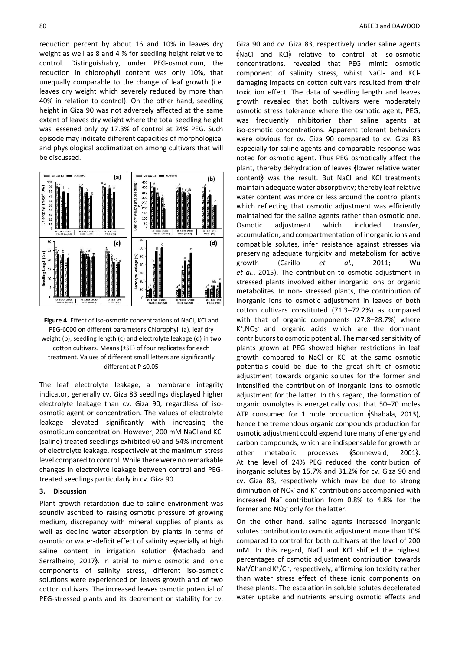reduction percent by about 16 and 10% in leaves dry weight as well as 8 and 4 % for seedling height relative to control. Distinguishably, under PEG-osmoticum, the reduction in chlorophyll content was only 10%, that unequally comparable to the change of leaf growth (i.e. leaves dry weight which severely reduced by more than 40% in relation to control). On the other hand, seedling height in Giza 90 was not adversely affected at the same extent of leaves dry weight where the total seedling height was lessened only by 17.3% of control at 24% PEG. Such episode may indicate different capacities of morphological and physiological acclimatization among cultivars that will be discussed.



**Figure 4**. Effect of iso-osmotic concentrations of NaCl, KCl and PEG-6000 on different parameters Chlorophyll (a), leaf dry weight (b), seedling length (c) and electrolyte leakage (d) in two cotton cultivars. Means (±SE) of four replicates for each treatment. Values of different small letters are significantly different at P ≤0.05

The leaf electrolyte leakage, a membrane integrity indicator, generally cv. Giza 83 seedlings displayed higher electrolyte leakage than cv. Giza 90, regardless of isoosmotic agent or concentration. The values of electrolyte leakage elevated significantly with increasing the osmoticum concentration. However, 200 mM NaCl and KCl (saline) treated seedlings exhibited 60 and 54% increment of electrolyte leakage, respectively at the maximum stress level compared to control. While there were no remarkable changes in electrolyte leakage between control and PEGtreated seedlings particularly in cv. Giza 90.

#### **3. Discussion**

Plant growth retardation due to saline environment was soundly ascribed to raising osmotic pressure of growing medium, discrepancy with mineral supplies of plants as well as decline water absorption by plants in terms of osmotic or water-deficit effect of salinity especially at high saline content in irrigation solution  $\{$ Machado and Serralheiro, 2017 $\frac{1}{2}$ . In atrial to mimic osmotic and ionic components of salinity stress, different iso-osmotic solutions were experienced on leaves growth and of two cotton cultivars. The increased leaves osmotic potential of PEG-stressed plants and its decrement or stability for cv.

Giza 90 and cv. Giza 83, respectively under saline agents  $N = \frac{1}{2}$  and KCl relative to control at iso-osmotic concentrations, revealed that PEG mimic osmotic component of salinity stress, whilst NaCl- and KCldamaging impacts on cotton cultivars resulted from their toxic ion effect. The data of seedling length and leaves growth revealed that both cultivars were moderately osmotic stress tolerance where the osmotic agent, PEG, was frequently inhibitorier than saline agents at iso-osmotic concentrations. Apparent tolerant behaviors were obvious for cv. Giza 90 compared to cv. Giza 83 especially for saline agents and comparable response was noted for osmotic agent. Thus PEG osmotically affect the plant, thereby dehydration of leaves (lower relative water content) was the result. But NaCl and KCl treatments maintain adequate water absorptivity; thereby leaf relative water content was more or less around the control plants which reflecting that osmotic adjustment was efficiently maintained for the saline agents rather than osmotic one. Osmotic adjustment which included transfer, accumulation, and compartmentation of inorganic ions and compatible solutes, infer resistance against stresses via preserving adequate turgidity and metabolism for active growth (Carillo *et al.*, 2011; Wu *et al.*, 2015). The contribution to osmotic adjustment in stressed plants involved either inorganic ions or organic metabolites. In non- stressed plants, the contribution of inorganic ions to osmotic adjustment in leaves of both cotton cultivars constituted (71.3–72.2%) as compared with that of organic components (27.8–28.7%) where K + ,NO<sup>3</sup> - and organic acids which are the dominant contributors to osmotic potential. The marked sensitivity of plants grown at PEG showed higher restrictions in leaf growth compared to NaCl or KCl at the same osmotic potentials could be due to the great shift of osmotic adjustment towards organic solutes for the former and intensified the contribution of inorganic ions to osmotic adjustment for the latter. In this regard, the formation of organic osmolytes is energetically cost that 50–70 moles ATP consumed for 1 mole production  $\frac{1}{2}$  Shabala, 2013), hence the tremendous organic compounds production for osmotic adjustment could expenditure many of energy and carbon compounds, which are indispensable for growth or other metabolic processes \$Sonnewald, 2001. At the level of 24% PEG reduced the contribution of inorganic solutes by 15.7% and 31.2% for cv. Giza 90 and cv. Giza 83, respectively which may be due to strong diminution of NO<sub>3</sub><sup>-</sup> and K<sup>+</sup> contributions accompanied with increased Na<sup>+</sup> contribution from 0.8% to 4.8% for the former and  $NO<sub>3</sub>$  only for the latter.

On the other hand, saline agents increased inorganic solutes contribution to osmotic adjustment more than 10% compared to control for both cultivars at the level of 200 mM. In this regard, NaCl and KCl shifted the highest percentages of osmotic adjustment contribution towards Na<sup>+</sup>/Cl<sup>-</sup> and K<sup>+</sup>/Cl<sup>-</sup>, respectively, affirming ion toxicity rather than water stress effect of these ionic components on these plants. The escalation in soluble solutes decelerated water uptake and nutrients ensuing osmotic effects and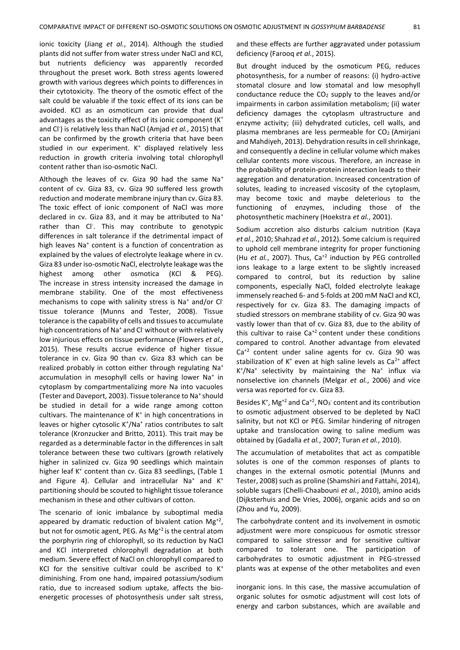ionic toxicity (Jiang *et al.*, 2014). Although the studied plants did not suffer from water stress under NaCl and KCl, but nutrients deficiency was apparently recorded throughout the preset work. Both stress agents lowered growth with various degrees which points to differences in their cytotoxicity. The theory of the osmotic effect of the salt could be valuable if the toxic effect of its ions can be avoided. KCl as an osmoticum can provide that dual advantages as the toxicity effect of its ionic component (K<sup>+</sup> and Cl<sup>-</sup>) is relatively less than NaCl (Amjad et al., 2015) that can be confirmed by the growth criteria that have been studied in our experiment. K<sup>+</sup> displayed relatively less reduction in growth criteria involving total chlorophyll content rather than iso-osmotic NaCl.

Although the leaves of cv. Giza 90 had the same Na<sup>+</sup> content of cv. Giza 83, cv. Giza 90 suffered less growth reduction and moderate membrane injury than cv. Giza 83. The toxic effect of ionic component of NaCl was more declared in cv. Giza 83, and it may be attributed to Na<sup>+</sup> rather than Cl<sup>-</sup>. This may contribute to genotypic differences in salt tolerance if the detrimental impact of high leaves Na<sup>+</sup> content is a function of concentration as explained by the values of electrolyte leakage where in cv. Giza 83 under iso-osmotic NaCl, electrolyte leakage was the highest among other osmotica (KCl & PEG). The increase in stress intensity increased the damage in membrane stability. One of the most effectiveness mechanisms to cope with salinity stress is Na<sup>+</sup> and/or Cl<sup>-</sup> tissue tolerance (Munns and Tester, 2008). Tissue tolerance is the capability of cells and tissues to accumulate high concentrations of Na<sup>+</sup> and Cl<sup>-</sup>without or with relatively low injurious effects on tissue performance (Flowers *et al.*, 2015). These results accrue evidence of higher tissue tolerance in cv. Giza 90 than cv. Giza 83 which can be realized probably in cotton either through regulating Na<sup>+</sup> accumulation in mesophyll cells or having lower Na<sup>+</sup> in cytoplasm by compartmentalizing more Na into vacuoles (Tester and Daveport, 2003). Tissue tolerance to Na<sup>+</sup> should be studied in detail for a wide range among cotton cultivars. The maintenance of  $K^+$  in high concentrations in leaves or higher cytosolic K<sup>+</sup>/Na<sup>+</sup> ratios contributes to salt tolerance (Kronzucker and Britto, 2011). This trait may be regarded as a determinable factor in the differences in salt tolerance between these two cultivars (growth relatively higher in salinized cv. Giza 90 seedlings which maintain higher leaf K<sup>+</sup> content than cv. Giza 83 seedlings, (Table 1 and Figure 4). Cellular and intracellular Na<sup>+</sup> and  $K^+$ partitioning should be scouted to highlight tissue tolerance mechanism in these and other cultivars of cotton.

The scenario of ionic imbalance by suboptimal media appeared by dramatic reduction of bivalent cation  $Mg^{+2}$ , but not for osmotic agent, PEG. As Mg<sup>+2</sup> is the central atom the porphyrin ring of chlorophyll, so its reduction by NaCl and KCl interpreted chlorophyll degradation at both medium. Severe effect of NaCl on chlorophyll compared to KCl for the sensitive cultivar could be ascribed to  $K^+$ diminishing. From one hand, impaired potassium/sodium ratio, due to increased sodium uptake, affects the bioenergetic processes of photosynthesis under salt stress,

and these effects are further aggravated under potassium deficiency (Farooq *et al.*, 2015).

But drought induced by the osmoticum PEG, reduces photosynthesis, for a number of reasons: (i) hydro-active stomatal closure and low stomatal and low mesophyll conductance reduce the  $CO<sub>2</sub>$  supply to the leaves and/or impairments in carbon assimilation metabolism; (ii) water deficiency damages the cytoplasm ultrastructure and enzyme activity; (iii) dehydrated cuticles, cell walls, and plasma membranes are less permeable for  $CO<sub>2</sub>$  (Amirjani and Mahdiyeh, 2013). Dehydration results in cell shrinkage, and consequently a decline in cellular volume which makes cellular contents more viscous. Therefore, an increase in the probability of protein-protein interaction leads to their aggregation and denaturation. Increased concentration of solutes, leading to increased viscosity of the cytoplasm, may become toxic and maybe deleterious to the functioning of enzymes, including those of the photosynthetic machinery (Hoekstra *et al.*, 2001).

Sodium accretion also disturbs calcium nutrition (Kaya *et al.*, 2010; Shahzad *et al.*, 2012). Some calcium is required to uphold cell membrane integrity for proper functioning (Hu *et al.*, 2007). Thus, Ca<sup>+2</sup> induction by PEG controlled ions leakage to a large extent to be slightly increased compared to control, but its reduction by saline components, especially NaCl, folded electrolyte leakage immensely reached 6- and 5-folds at 200 mM NaCl and KCl, respectively for cv. Giza 83. The damaging impacts of studied stressors on membrane stability of cv. Giza 90 was vastly lower than that of cv. Giza 83, due to the ability of this cultivar to raise  $Ca^{+2}$  content under these conditions compared to control. Another advantage from elevated Ca<sup>+2</sup> content under saline agents for cv. Giza 90 was stabilization of  $K^+$  even at high saline levels as  $Ca^{2+}$  affect K<sup>+</sup>/Na<sup>+</sup> selectivity by maintaining the Na<sup>+</sup> influx via nonselective ion channels (Melgar *et al.*, 2006) and vice versa was reported for cv. Giza 83.

Besides  $K^+$ , Mg<sup>+2</sup> and Ca<sup>+2</sup>, NO<sub>3</sub> content and its contribution to osmotic adjustment observed to be depleted by NaCl salinity, but not KCl or PEG. Similar hindering of nitrogen uptake and translocation owing to saline medium was obtained by (Gadalla *et al.*, 2007; Turan *et al.*, 2010).

The accumulation of metabolites that act as compatible solutes is one of the common responses of plants to changes in the external osmotic potential (Munns and Tester, 2008) such as proline (Shamshiri and Fattahi, 2014), soluble sugars (Chelli-Chaabouni *et al.*, 2010), amino acids (Dijksterhuis and De Vries, 2006), organic acids and so on (Zhou and Yu, 2009).

The carbohydrate content and its involvement in osmotic adjustment were more conspicuous for osmotic stressor compared to saline stressor and for sensitive cultivar compared to tolerant one. The participation of carbohydrates to osmotic adjustment in PEG-stressed plants was at expense of the other metabolites and even

inorganic ions. In this case, the massive accumulation of organic solutes for osmotic adjustment will cost lots of energy and carbon substances, which are available and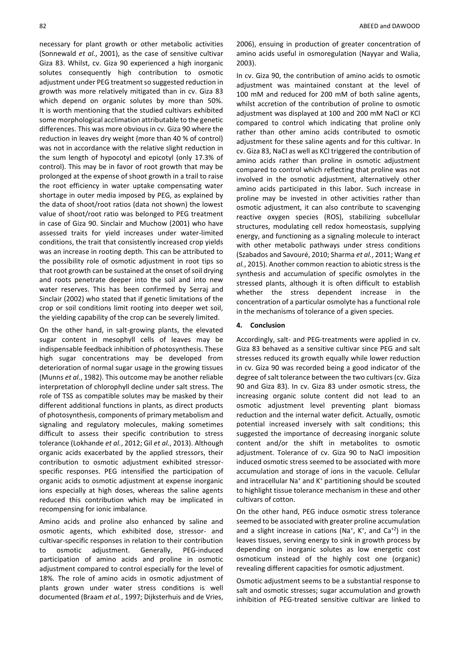necessary for plant growth or other metabolic activities (Sonnewald *et al.*, 2001), as the case of sensitive cultivar Giza 83. Whilst, cv. Giza 90 experienced a high inorganic solutes consequently high contribution to osmotic adjustment under PEG treatment so suggested reduction in growth was more relatively mitigated than in cv. Giza 83 which depend on organic solutes by more than 50%. It is worth mentioning that the studied cultivars exhibited some morphological acclimation attributable to the genetic differences. This was more obvious in cv. Giza 90 where the reduction in leaves dry weight (more than 40 % of control) was not in accordance with the relative slight reduction in the sum length of hypocotyl and epicotyl (only 17.3% of control). This may be in favor of root growth that may be prolonged at the expense of shoot growth in a trail to raise the root efficiency in water uptake compensating water shortage in outer media imposed by PEG, as explained by the data of shoot/root ratios (data not shown) the lowest value of shoot/root ratio was belonged to PEG treatment in case of Giza 90. Sinclair and Muchow (2001) who have assessed traits for yield increases under water-limited conditions, the trait that consistently increased crop yields was an increase in rooting depth. This can be attributed to the possibility role of osmotic adjustment in root tips so that root growth can be sustained at the onset of soil drying and roots penetrate deeper into the soil and into new water reserves. This has been confirmed by Serraj and Sinclair (2002) who stated that if genetic limitations of the crop or soil conditions limit rooting into deeper wet soil, the yielding capability of the crop can be severely limited.

On the other hand, in salt-growing plants, the elevated sugar content in mesophyll cells of leaves may be indispensable feedback inhibition of photosynthesis. These high sugar concentrations may be developed from deterioration of normal sugar usage in the growing tissues (Munns *et al.*, 1982). This outcome may be another reliable interpretation of chlorophyll decline under salt stress. The role of TSS as compatible solutes may be masked by their different additional functions in plants, as direct products of photosynthesis, components of primary metabolism and signaling and regulatory molecules, making sometimes difficult to assess their specific contribution to stress tolerance (Lokhande *et al.*, 2012; Gil *et al.*, 2013). Although organic acids exacerbated by the applied stressors, their contribution to osmotic adjustment exhibited stressorspecific responses. PEG intensified the participation of organic acids to osmotic adjustment at expense inorganic ions especially at high doses, whereas the saline agents reduced this contribution which may be implicated in recompensing for ionic imbalance.

Amino acids and proline also enhanced by saline and osmotic agents, which exhibited dose, stressor- and cultivar-specific responses in relation to their contribution to osmotic adjustment. Generally, PEG-induced participation of amino acids and proline in osmotic adjustment compared to control especially for the level of 18%. The role of amino acids in osmotic adjustment of plants grown under water stress conditions is well documented (Braam *et al.*, 1997; Dijksterhuis and de Vries,

2006), ensuing in production of greater concentration of amino acids useful in osmoregulation (Nayyar and Walia, 2003).

In cv. Giza 90, the contribution of amino acids to osmotic adjustment was maintained constant at the level of 100 mM and reduced for 200 mM of both saline agents, whilst accretion of the contribution of proline to osmotic adjustment was displayed at 100 and 200 mM NaCl or KCl compared to control which indicating that proline only rather than other amino acids contributed to osmotic adjustment for these saline agents and for this cultivar. In cv. Giza 83, NaCl as well as KCl triggered the contribution of amino acids rather than proline in osmotic adjustment compared to control which reflecting that proline was not involved in the osmotic adjustment, alternatively other amino acids participated in this labor. Such increase in proline may be invested in other activities rather than osmotic adjustment, it can also contribute to scavenging reactive oxygen species (ROS), stabilizing subcellular structures, modulating cell redox homeostasis, supplying energy, and functioning as a signaling molecule to interact with other metabolic pathways under stress conditions (Szabados and Savouré, 2010; Sharma *et al.*, 2011; Wang *et al.*, 2015). Another common reaction to abiotic stress is the synthesis and accumulation of specific osmolytes in the stressed plants, although it is often difficult to establish whether the stress dependent increase in the concentration of a particular osmolyte has a functional role in the mechanisms of tolerance of a given species.

## **4. Conclusion**

Accordingly, salt- and PEG-treatments were applied in cv. Giza 83 behaved as a sensitive cultivar since PEG and salt stresses reduced its growth equally while lower reduction in cv. Giza 90 was recorded being a good indicator of the degree of salt tolerance between the two cultivars (cv. Giza 90 and Giza 83). In cv. Giza 83 under osmotic stress, the increasing organic solute content did not lead to an osmotic adjustment level preventing plant biomass reduction and the internal water deficit. Actually, osmotic potential increased inversely with salt conditions; this suggested the importance of decreasing inorganic solute content and/or the shift in metabolites to osmotic adjustment. Tolerance of cv. Giza 90 to NaCl imposition induced osmotic stress seemed to be associated with more accumulation and storage of ions in the vacuole. Cellular and intracellular Na<sup>+</sup> and K<sup>+</sup> partitioning should be scouted to highlight tissue tolerance mechanism in these and other cultivars of cotton.

On the other hand, PEG induce osmotic stress tolerance seemed to be associated with greater proline accumulation and a slight increase in cations (Na<sup>+</sup>, K<sup>+</sup>, and Ca<sup>+2</sup>) in the leaves tissues, serving energy to sink in growth process by depending on inorganic solutes as low energetic cost osmoticum instead of the highly cost one (organic) revealing different capacities for osmotic adjustment.

Osmotic adjustment seems to be a substantial response to salt and osmotic stresses; sugar accumulation and growth inhibition of PEG-treated sensitive cultivar are linked to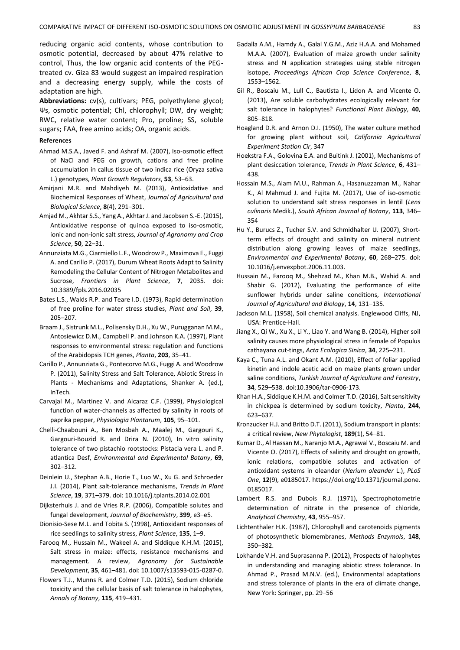reducing organic acid contents, whose contribution to osmotic potential, decreased by about 47% relative to control, Thus, the low organic acid contents of the PEGtreated cv. Giza 83 would suggest an impaired respiration and a decreasing energy supply, while the costs of adaptation are high.

**Abbreviations:** cv(s), cultivars; PEG, polyethylene glycol; Ψs, osmotic potential; Chl, chlorophyll; DW, dry weight; RWC, relative water content; Pro, proline; SS, soluble sugars; FAA, free amino acids; OA, organic acids.

#### **References**

- Ahmad M.S.A., Javed F. and Ashraf M. (2007), Iso-osmotic effect of NaCl and PEG on growth, cations and free proline accumulation in callus tissue of two indica rice (Oryza sativa L.) genotypes, *Plant Growth Regulators*, **53**, 53–63.
- Amirjani M.R. and Mahdiyeh M. (2013), Antioxidative and Biochemical Responses of Wheat, *Journal of Agricultural and Biological Science*, **8**(4), 291–301.
- Amjad M., Akhtar S.S., Yang A., Akhtar J. and Jacobsen S.-E. (2015), Antioxidative response of quinoa exposed to iso-osmotic, ionic and non-ionic salt stress, *Journal of Agronomy and Crop Science*, **50**, 22–31.
- Annunziata M.G., Ciarmiello L.F., Woodrow P., Maximova E., Fuggi A. and Carillo P. (2017), Durum Wheat Roots Adapt to Salinity Remodeling the Cellular Content of Nitrogen Metabolites and Sucrose, *Frontiers in Plant Science*, **7**, 2035. doi: 10.3389/fpls.2016.02035
- Bates L.S., Walds R.P. and Teare I.D. (1973), Rapid determination of free proline for water stress studies, *Plant and Soil*, **39**, 205–207.
- Braam J., Sistrunk M.L., Polisensky D.H., Xu W., Purugganan M.M., Antosiewicz D.M., Campbell P. and Johnson K.A. (1997), Plant responses to environmental stress: regulation and functions of the Arabidopsis TCH genes, *Planta*, **203**, 35–41.
- Carillo P., Annunziata G., Pontecorvo M.G., Fuggi A. and Woodrow P. (2011), Salinity Stress and Salt Tolerance, Abiotic Stress in Plants - Mechanisms and Adaptations, Shanker A. (ed.), InTech.
- Carvajal M., Martinez V. and Alcaraz C.F. (1999), Physiological function of water-channels as affected by salinity in roots of paprika pepper, *Physiologia Plantarum*, **105**, 95–101.
- Chelli-Chaabouni A., Ben Mosbah A., Maalej M., Gargouri K., Gargouri-Bouzid R. and Drira N. (2010), In vitro salinity tolerance of two pistachio rootstocks: Pistacia vera L. and P. atlantica Desf, *Environmental and Experimental Botany*, **69**, 302–312.
- Deinlein U., Stephan A.B., Horie T., Luo W., Xu G. and Schroeder J.I. (2014), Plant salt-tolerance mechanisms, *Trends in Plant Science*, **19**, 371–379. doi: 10.1016/j.tplants.2014.02.001
- Dijksterhuis J. and de Vries R.P. (2006), Compatible solutes and fungal development, *Journal of Biochemistry*, **399**, e3–e5.
- Dionisio-Sese M.L. and Tobita S. (1998), Antioxidant responses of rice seedlings to salinity stress, *Plant Science*, **135**, 1–9.
- Farooq M., Hussain M., Wakeel A. and Siddique K.H.M. (2015), Salt stress in maize: effects, resistance mechanisms and management. A review, *Agronomy for Sustainable Development*, **35**, 461–481. doi: 10.1007/s13593-015-0287-0.
- Flowers T.J., Munns R. and Colmer T.D. (2015), Sodium chloride toxicity and the cellular basis of salt tolerance in halophytes, *Annals of Botany*, **115**, 419–431.
- Gadalla A.M., Hamdy A., Galal Y.G.M., Aziz H.A.A. and Mohamed M.A.A. (2007), Evaluation of maize growth under salinity stress and N application strategies using stable nitrogen isotope, *Proceedings African Crop Science Conference*, **8**, 1553–1562.
- Gil R., Boscaiu M., Lull C., Bautista I., Lidon A. and Vicente O. (2013), Are soluble carbohydrates ecologically relevant for salt tolerance in halophytes? *Functional Plant Biology*, **40**, 805–818.
- Hoagland D.R. and Arnon D.I. (1950), The water culture method for growing plant without soil, *California Agricultural Experiment Station Cir*, 347
- Hoekstra F.A., Golovina E.A. and Buitink J. (2001), Mechanisms of plant desiccation tolerance, *Trends in Plant Science*, **6**, 431– 438.
- Hossain M.S., Alam M.U., Rahman A., Hasanuzzaman M., Nahar K., Al Mahmud J. and Fujita M. (2017), Use of iso-osmotic solution to understand salt stress responses in lentil (*Lens culinaris* Medik.), *South African Journal of Botany*, **113**, 346– 354
- Hu Y., Burucs Z., Tucher S.V. and Schmidhalter U. (2007), Shortterm effects of drought and salinity on mineral nutrient distribution along growing leaves of maize seedlings, *Environmental and Experimental Botany*, **60**, 268–275. doi: 10.1016/j.envexpbot.2006.11.003.
- Hussain M., Farooq M., Shehzad M., Khan M.B., Wahid A. and Shabir G. (2012), Evaluating the performance of elite sunflower hybrids under saline conditions, *International Journal of Agricultural and Biology*, **14**, 131–135.
- Jackson M.L. (1958), Soil chemical analysis. Englewood Cliffs, NJ, USA: Prentice-Hall.
- Jiang X., Qi W., Xu X., Li Y., Liao Y. and Wang B. (2014), Higher soil salinity causes more physiological stress in female of Populus cathayana cut-tings, *Acta Ecologica Sinica*, **34**, 225–231.
- Kaya C., Tuna A.L. and Okant A.M. (2010), Effect of foliar applied kinetin and indole acetic acid on maize plants grown under saline conditions, *Turkish Journal of Agriculture and Forestry*, **34**, 529–538. doi:10.3906/tar-0906-173.
- Khan H.A., Siddique K.H.M. and Colmer T.D. (2016), Salt sensitivity in chickpea is determined by sodium toxicity, *Planta*, **244**, 623–637.
- Kronzucker H.J. and Britto D.T. (2011), Sodium transport in plants: a critical review, *New Phytologist*, **189**(1), 54–81.
- Kumar D., Al Hassan M., Naranjo M.A., Agrawal V., Boscaiu M. and Vicente O. (2017), Effects of salinity and drought on growth, ionic relations, compatible solutes and activation of antioxidant systems in oleander (*Nerium oleander* L.), *PLoS One*, **12**(9), e0185017. https://doi.org/10.1371/journal.pone. 0185017.
- Lambert R.S. and Dubois R.J. (1971), Spectrophotometrie determination of nitrate in the presence of chloride, *Analytical Chemistry*, **43**, 955–957.
- Lichtenthaler H.K. (1987), Chlorophyll and carotenoids pigments of photosynthetic biomembranes, *Methods Enzymols*, **148**, 350–382.
- Lokhande V.H. and Suprasanna P. (2012), Prospects of halophytes in understanding and managing abiotic stress tolerance. In Ahmad P., Prasad M.N.V. (ed.), Environmental adaptations and stress tolerance of plants in the era of climate change, New York: Springer, pp. 29–56